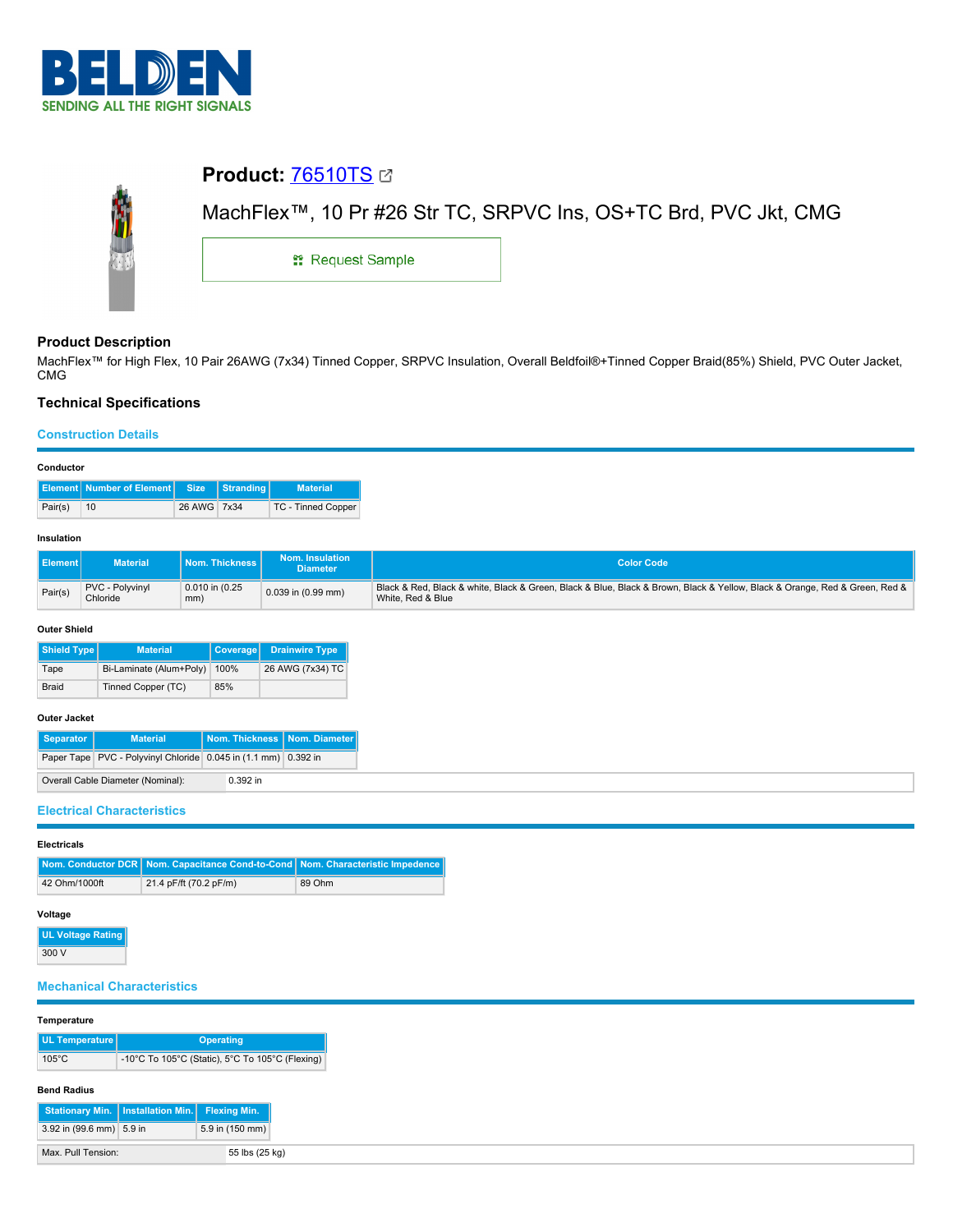

# **Product:** [76510TS](https://catalog.belden.com/index.cfm?event=pd&p=PF_76510TS&tab=downloads) MachFlex™, 10 Pr #26 Str TC, SRPVC Ins, OS+TC Brd, PVC Jkt, CMG **::** Request Sample

## **Product Description**

MachFlex™ for High Flex, 10 Pair 26AWG (7x34) Tinned Copper, SRPVC Insulation, Overall Beldfoil®+Tinned Copper Braid(85%) Shield, PVC Outer Jacket, CMG

## **Technical Specifications**

#### **Construction Details**

| -------------- |                                                 |             |  |                    |  |  |  |
|----------------|-------------------------------------------------|-------------|--|--------------------|--|--|--|
|                | <b>Element Number of Element Size Stranding</b> |             |  | <b>Material</b>    |  |  |  |
| Pair(s)        | 10                                              | 26 AWG 7x34 |  | TC - Tinned Copper |  |  |  |

#### **Insulation**

| <b>I</b> Element | Material <sup>1</sup>       | Nom. Thickness丨            | Nom. Insulation<br><b>Diameter</b> | <b>Color Code</b>                                                                                                                               |
|------------------|-----------------------------|----------------------------|------------------------------------|-------------------------------------------------------------------------------------------------------------------------------------------------|
| Pair(s)          | PVC - Polyvinyl<br>Chloride | $0.010$ in $(0.25)$<br>mm) | $0.039$ in $(0.99$ mm)             | Black & Red, Black & white, Black & Green, Black & Blue, Black & Brown, Black & Yellow, Black & Orange, Red & Green, Red &<br>White, Red & Blue |

#### **Outer Shield**

| Shield Type  | <b>Material</b>         | <b>Coverage</b> | <b>Drainwire Type</b> |
|--------------|-------------------------|-----------------|-----------------------|
| Tape         | Bi-Laminate (Alum+Poly) | 100%            | 26 AWG (7x34) TC      |
| <b>Braid</b> | Tinned Copper (TC)      | 85%             |                       |

#### **Outer Jacket**

| Separator | <b>Material</b>                                                | Nom. Thickness   Nom. Diameter |  |
|-----------|----------------------------------------------------------------|--------------------------------|--|
|           | Paper Tape PVC - Polyvinyl Chloride 0.045 in (1.1 mm) 0.392 in |                                |  |
|           | Overall Cable Diameter (Nominal):                              | $0.392$ in                     |  |

### **Electrical Characteristics**

| <b>Electricals</b> |                                                                                |        |  |  |  |
|--------------------|--------------------------------------------------------------------------------|--------|--|--|--|
|                    | Nom. Conductor DCR Nom. Capacitance Cond-to-Cond Nom. Characteristic Impedence |        |  |  |  |
| 42 Ohm/1000ft      | 21.4 pF/ft (70.2 pF/m)                                                         | 89 Ohm |  |  |  |

## **Voltage**

**UL Voltage Rating** 300 V

## **Mechanical Characteristics**

#### **Temperature**

| UL Temperature  | <b>Operating</b>                                |  |  |
|-----------------|-------------------------------------------------|--|--|
| $105^{\circ}$ C | -10°C To 105°C (Static), 5°C To 105°C (Flexing) |  |  |

#### **Bend Radius**

| Stationary Min.   Installation Min.   Flexing Min. |                 |
|----------------------------------------------------|-----------------|
| 3.92 in (99.6 mm) 5.9 in                           | 5.9 in (150 mm) |
| Max. Pull Tension:                                 | 55 lbs (25 kg)  |